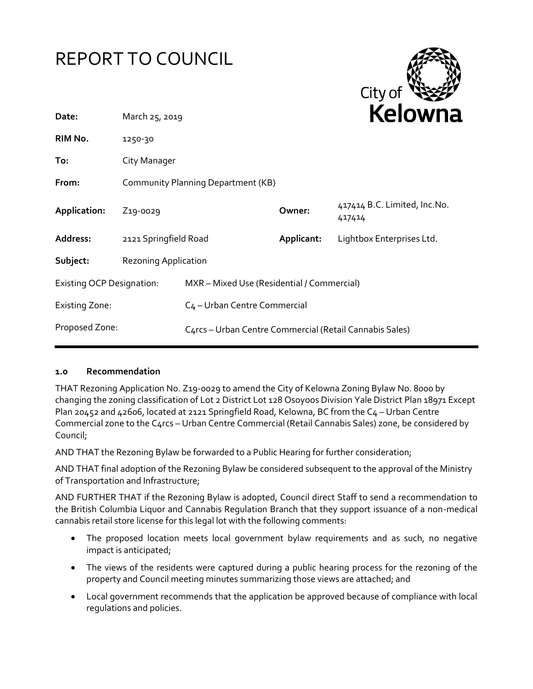



| March 25, 2019                     |                                                         | <b>NEIUWII</b> d      |                                          |
|------------------------------------|---------------------------------------------------------|-----------------------|------------------------------------------|
| 1250-30                            |                                                         |                       |                                          |
| City Manager                       |                                                         |                       |                                          |
| Community Planning Department (KB) |                                                         |                       |                                          |
| Z <sub>19</sub> -0029              |                                                         | Owner:                | 417414 B.C. Limited, Inc. No.<br>417414  |
|                                    |                                                         | Applicant:            | Lightbox Enterprises Ltd.                |
| <b>Rezoning Application</b>        |                                                         |                       |                                          |
| <b>Existing OCP Designation:</b>   | MXR - Mixed Use (Residential / Commercial)              |                       |                                          |
|                                    |                                                         |                       |                                          |
|                                    | C4rcs - Urban Centre Commercial (Retail Cannabis Sales) |                       |                                          |
|                                    |                                                         | 2121 Springfield Road | C <sub>4</sub> - Urban Centre Commercial |

### **1.0 Recommendation**

THAT Rezoning Application No. Z19-0029 to amend the City of Kelowna Zoning Bylaw No. 8000 by changing the zoning classification of Lot 2 District Lot 128 Osoyoos Division Yale District Plan 18971 Except Plan 20452 and 42606, located at 2121 Springfield Road, Kelowna, BC from the C4 - Urban Centre Commercial zone to the C4rcs – Urban Centre Commercial (Retail Cannabis Sales) zone, be considered by Council;

AND THAT the Rezoning Bylaw be forwarded to a Public Hearing for further consideration;

AND THAT final adoption of the Rezoning Bylaw be considered subsequent to the approval of the Ministry of Transportation and Infrastructure;

AND FURTHER THAT if the Rezoning Bylaw is adopted, Council direct Staff to send a recommendation to the British Columbia Liquor and Cannabis Regulation Branch that they support issuance of a non-medical cannabis retail store license for this legal lot with the following comments:

- The proposed location meets local government bylaw requirements and as such, no negative impact is anticipated;
- The views of the residents were captured during a public hearing process for the rezoning of the property and Council meeting minutes summarizing those views are attached; and
- Local government recommends that the application be approved because of compliance with local regulations and policies.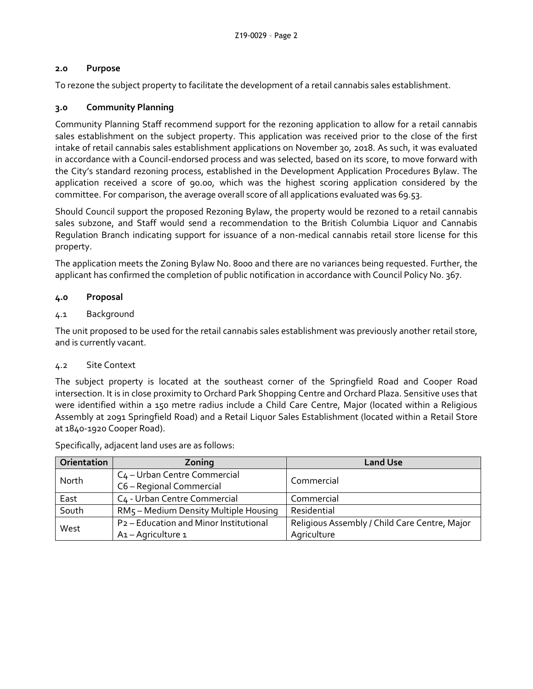# **2.0 Purpose**

To rezone the subject property to facilitate the development of a retail cannabis sales establishment.

# **3.0 Community Planning**

Community Planning Staff recommend support for the rezoning application to allow for a retail cannabis sales establishment on the subject property. This application was received prior to the close of the first intake of retail cannabis sales establishment applications on November 30, 2018. As such, it was evaluated in accordance with a Council-endorsed process and was selected, based on its score, to move forward with the City's standard rezoning process, established in the Development Application Procedures Bylaw. The application received a score of 90.00, which was the highest scoring application considered by the committee. For comparison, the average overall score of all applications evaluated was 69.53.

Should Council support the proposed Rezoning Bylaw, the property would be rezoned to a retail cannabis sales subzone, and Staff would send a recommendation to the British Columbia Liquor and Cannabis Regulation Branch indicating support for issuance of a non-medical cannabis retail store license for this property.

The application meets the Zoning Bylaw No. 8000 and there are no variances being requested. Further, the applicant has confirmed the completion of public notification in accordance with Council Policy No. 367.

## **4.0 Proposal**

### 4.1 Background

The unit proposed to be used for the retail cannabis sales establishment was previously another retail store, and is currently vacant.

### 4.2 Site Context

The subject property is located at the southeast corner of the Springfield Road and Cooper Road intersection. It is in close proximity to Orchard Park Shopping Centre and Orchard Plaza. Sensitive uses that were identified within a 150 metre radius include a Child Care Centre, Major (located within a Religious Assembly at 2091 Springfield Road) and a Retail Liquor Sales Establishment (located within a Retail Store at 1840-1920 Cooper Road).

| Orientation | Zoning                                             | <b>Land Use</b>                               |  |
|-------------|----------------------------------------------------|-----------------------------------------------|--|
| North       | C <sub>4</sub> - Urban Centre Commercial           | Commercial                                    |  |
|             | C6 - Regional Commercial                           |                                               |  |
| East        | C4 - Urban Centre Commercial                       | Commercial                                    |  |
| South       | RM5 - Medium Density Multiple Housing              | Residential                                   |  |
| West        | P <sub>2</sub> - Education and Minor Institutional | Religious Assembly / Child Care Centre, Major |  |
|             | A <sub>1</sub> - Agriculture 1                     | Agriculture                                   |  |

Specifically, adjacent land uses are as follows: